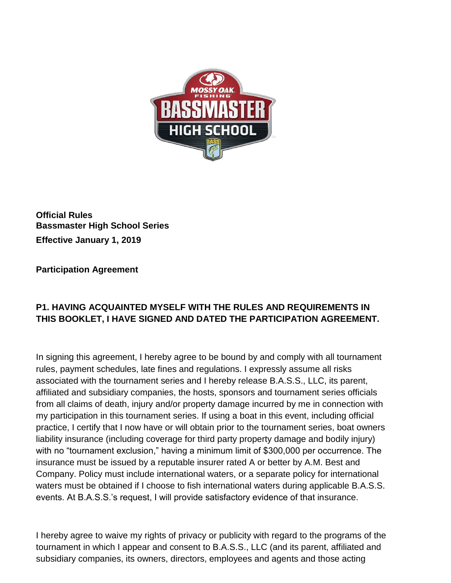

**Official Rules Bassmaster High School Series Effective January 1, 2019**

**Participation Agreement**

# **P1. HAVING ACQUAINTED MYSELF WITH THE RULES AND REQUIREMENTS IN THIS BOOKLET, I HAVE SIGNED AND DATED THE PARTICIPATION AGREEMENT.**

In signing this agreement, I hereby agree to be bound by and comply with all tournament rules, payment schedules, late fines and regulations. I expressly assume all risks associated with the tournament series and I hereby release B.A.S.S., LLC, its parent, affiliated and subsidiary companies, the hosts, sponsors and tournament series officials from all claims of death, injury and/or property damage incurred by me in connection with my participation in this tournament series. If using a boat in this event, including official practice, I certify that I now have or will obtain prior to the tournament series, boat owners liability insurance (including coverage for third party property damage and bodily injury) with no "tournament exclusion," having a minimum limit of \$300,000 per occurrence. The insurance must be issued by a reputable insurer rated A or better by A.M. Best and Company. Policy must include international waters, or a separate policy for international waters must be obtained if I choose to fish international waters during applicable B.A.S.S. events. At B.A.S.S.'s request, I will provide satisfactory evidence of that insurance.

I hereby agree to waive my rights of privacy or publicity with regard to the programs of the tournament in which I appear and consent to B.A.S.S., LLC (and its parent, affiliated and subsidiary companies, its owners, directors, employees and agents and those acting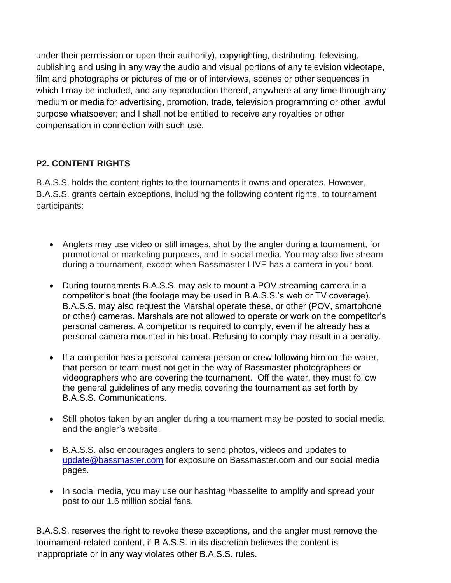under their permission or upon their authority), copyrighting, distributing, televising, publishing and using in any way the audio and visual portions of any television videotape, film and photographs or pictures of me or of interviews, scenes or other sequences in which I may be included, and any reproduction thereof, anywhere at any time through any medium or media for advertising, promotion, trade, television programming or other lawful purpose whatsoever; and I shall not be entitled to receive any royalties or other compensation in connection with such use.

# **P2. CONTENT RIGHTS**

B.A.S.S. holds the content rights to the tournaments it owns and operates. However, B.A.S.S. grants certain exceptions, including the following content rights, to tournament participants:

- Anglers may use video or still images, shot by the angler during a tournament, for promotional or marketing purposes, and in social media. You may also live stream during a tournament, except when Bassmaster LIVE has a camera in your boat.
- During tournaments B.A.S.S. may ask to mount a POV streaming camera in a competitor's boat (the footage may be used in B.A.S.S.'s web or TV coverage). B.A.S.S. may also request the Marshal operate these, or other (POV, smartphone or other) cameras. Marshals are not allowed to operate or work on the competitor's personal cameras. A competitor is required to comply, even if he already has a personal camera mounted in his boat. Refusing to comply may result in a penalty.
- If a competitor has a personal camera person or crew following him on the water, that person or team must not get in the way of Bassmaster photographers or videographers who are covering the tournament. Off the water, they must follow the general guidelines of any media covering the tournament as set forth by B.A.S.S. Communications.
- Still photos taken by an angler during a tournament may be posted to social media and the angler's website.
- B.A.S.S. also encourages anglers to send photos, videos and updates to [update@bassmaster.com](mailto:update@bassmaster.com) for exposure on Bassmaster.com and our social media pages.
- In social media, you may use our hashtag #basselite to amplify and spread your post to our 1.6 million social fans.

B.A.S.S. reserves the right to revoke these exceptions, and the angler must remove the tournament-related content, if B.A.S.S. in its discretion believes the content is inappropriate or in any way violates other B.A.S.S. rules.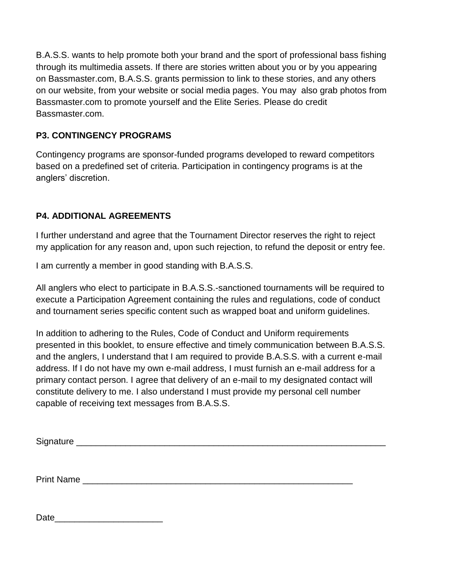B.A.S.S. wants to help promote both your brand and the sport of professional bass fishing through its multimedia assets. If there are stories written about you or by you appearing on Bassmaster.com, B.A.S.S. grants permission to link to these stories, and any others on our website, from your website or social media pages. You may also grab photos from Bassmaster.com to promote yourself and the Elite Series. Please do credit Bassmaster.com.

### **P3. CONTINGENCY PROGRAMS**

Contingency programs are sponsor-funded programs developed to reward competitors based on a predefined set of criteria. Participation in contingency programs is at the anglers' discretion.

## **P4. ADDITIONAL AGREEMENTS**

I further understand and agree that the Tournament Director reserves the right to reject my application for any reason and, upon such rejection, to refund the deposit or entry fee.

I am currently a member in good standing with B.A.S.S.

All anglers who elect to participate in B.A.S.S.-sanctioned tournaments will be required to execute a Participation Agreement containing the rules and regulations, code of conduct and tournament series specific content such as wrapped boat and uniform guidelines.

In addition to adhering to the Rules, Code of Conduct and Uniform requirements presented in this booklet, to ensure effective and timely communication between B.A.S.S. and the anglers, I understand that I am required to provide B.A.S.S. with a current e-mail address. If I do not have my own e-mail address, I must furnish an e-mail address for a primary contact person. I agree that delivery of an e-mail to my designated contact will constitute delivery to me. I also understand I must provide my personal cell number capable of receiving text messages from B.A.S.S.

| Signature |  |
|-----------|--|
|           |  |

Print Name

Date and the set of the set of the set of the set of the set of the set of the set of the set of the set of the set of the set of the set of the set of the set of the set of the set of the set of the set of the set of the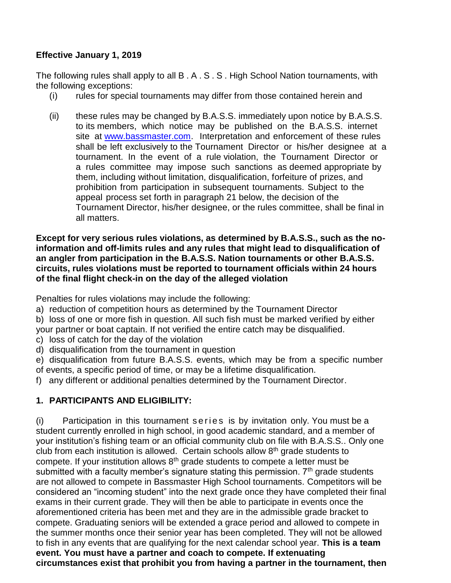#### **Effective January 1, 2019**

The following rules shall apply to all B . A . S . S . High School Nation tournaments, with the following exceptions:

- (i) rules for special tournaments may differ from those contained herein and
- (ii) these rules may be changed by B.A.S.S. immediately upon notice by B.A.S.S. to its members, which notice may be published on the B.A.S.S. internet site at [www.bassmaster.com.](http://www.bassmaster.com/) Interpretation and enforcement of these rules shall be left exclusively to the Tournament Director or his/her designee at a tournament. In the event of a rule violation, the Tournament Director or a rules committee may impose such sanctions as deemed appropriate by them, including without limitation, disqualification, forfeiture of prizes, and prohibition from participation in subsequent tournaments. Subject to the appeal process set forth in paragraph 21 below, the decision of the Tournament Director, his/her designee, or the rules committee, shall be final in all matters.

**Except for very serious rules violations, as determined by B.A.S.S., such as the noinformation and off-limits rules and any rules that might lead to disqualification of an angler from participation in the B.A.S.S. Nation tournaments or other B.A.S.S. circuits, rules violations must be reported to tournament officials within 24 hours of the final flight check-in on the day of the alleged violation**

Penalties for rules violations may include the following:

a) reduction of competition hours as determined by the Tournament Director

b) loss of one or more fish in question. All such fish must be marked verified by either your partner or boat captain. If not verified the entire catch may be disqualified.

- c) loss of catch for the day of the violation
- d) disqualification from the tournament in question
- e) disqualification from future B.A.S.S. events, which may be from a specific number of events, a specific period of time, or may be a lifetime disqualification.
- f) any different or additional penalties determined by the Tournament Director.

### **1. PARTICIPANTS AND ELIGIBILITY:**

 $(i)$  Participation in this tournament series is by invitation only. You must be a student currently enrolled in high school, in good academic standard, and a member of your institution's fishing team or an official community club on file with B.A.S.S.. Only one club from each institution is allowed. Certain schools allow  $8<sup>th</sup>$  grade students to compete. If your institution allows  $8<sup>th</sup>$  grade students to compete a letter must be submitted with a faculty member's signature stating this permission.  $7<sup>th</sup>$  grade students are not allowed to compete in Bassmaster High School tournaments. Competitors will be considered an "incoming student" into the next grade once they have completed their final exams in their current grade. They will then be able to participate in events once the aforementioned criteria has been met and they are in the admissible grade bracket to compete. Graduating seniors will be extended a grace period and allowed to compete in the summer months once their senior year has been completed. They will not be allowed to fish in any events that are qualifying for the next calendar school year. **This is a team event. You must have a partner and coach to compete. If extenuating circumstances exist that prohibit you from having a partner in the tournament, then**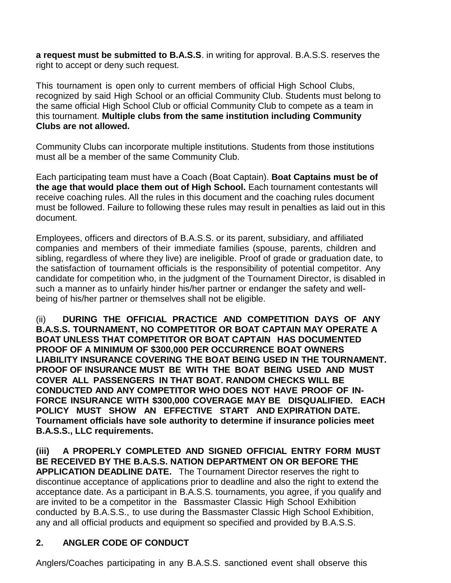**a request must be submitted to B.A.S.S**. in writing for approval. B.A.S.S. reserves the right to accept or deny such request.

This tournament is open only to current members of official High School Clubs, recognized by said High School or an official Community Club. Students must belong to the same official High School Club or official Community Club to compete as a team in this tournament. **Multiple clubs from the same institution including Community Clubs are not allowed.** 

Community Clubs can incorporate multiple institutions. Students from those institutions must all be a member of the same Community Club.

Each participating team must have a Coach (Boat Captain). **Boat Captains must be of the age that would place them out of High School.** Each tournament contestants will receive coaching rules. All the rules in this document and the coaching rules document must be followed. Failure to following these rules may result in penalties as laid out in this document.

Employees, officers and directors of B.A.S.S. or its parent, subsidiary, and affiliated companies and members of their immediate families (spouse, parents, children and sibling, regardless of where they live) are ineligible. Proof of grade or graduation date, to the satisfaction of tournament officials is the responsibility of potential competitor. Any candidate for competition who, in the judgment of the Tournament Director, is disabled in such a manner as to unfairly hinder his/her partner or endanger the safety and wellbeing of his/her partner or themselves shall not be eligible.

(ii) **DURING THE OFFICIAL PRACTICE AND COMPETITION DAYS OF ANY B.A.S.S. TOURNAMENT, NO COMPETITOR OR BOAT CAPTAIN MAY OPERATE A BOAT UNLESS THAT COMPETITOR OR BOAT CAPTAIN HAS DOCUMENTED PROOF OF A MINIMUM OF \$300,000 PER OCCURRENCE BOAT OWNERS LIABILITY INSURANCE COVERING THE BOAT BEING USED IN THE TOURNAMENT. PROOF OF INSURANCE MUST BE WITH THE BOAT BEING USED AND MUST COVER ALL PASSENGERS IN THAT BOAT. RANDOM CHECKS WILL BE CONDUCTED AND ANY COMPETITOR WHO DOES NOT HAVE PROOF OF IN-FORCE INSURANCE WITH \$300,000 COVERAGE MAY BE DISQUALIFIED. EACH POLICY MUST SHOW AN EFFECTIVE START AND EXPIRATION DATE. Tournament officials have sole authority to determine if insurance policies meet B.A.S.S., LLC requirements.**

**(iii) A PROPERLY COMPLETED AND SIGNED OFFICIAL ENTRY FORM MUST BE RECEIVED BY THE B.A.S.S. NATION DEPARTMENT ON OR BEFORE THE APPLICATION DEADLINE DATE.** The Tournament Director reserves the right to discontinue acceptance of applications prior to deadline and also the right to extend the acceptance date. As a participant in B.A.S.S. tournaments, you agree, if you qualify and are invited to be a competitor in the Bassmaster Classic High School Exhibition conducted by B.A.S.S., to use during the Bassmaster Classic High School Exhibition, any and all official products and equipment so specified and provided by B.A.S.S.

## **2. ANGLER CODE OF CONDUCT**

Anglers/Coaches participating in any B.A.S.S. sanctioned event shall observe this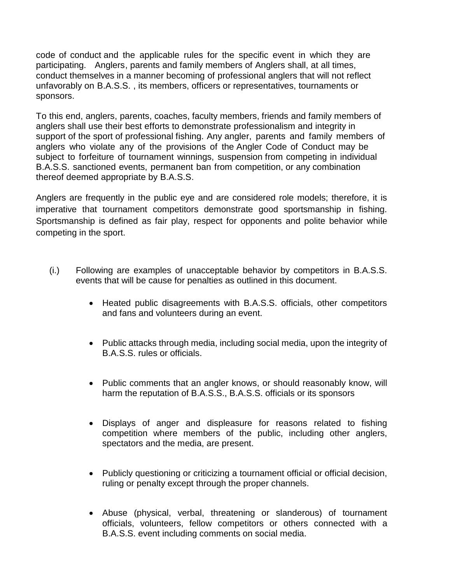code of conduct and the applicable rules for the specific event in which they are participating. Anglers, parents and family members of Anglers shall, at all times, conduct themselves in a manner becoming of professional anglers that will not reflect unfavorably on B.A.S.S. , its members, officers or representatives, tournaments or sponsors.

To this end, anglers, parents, coaches, faculty members, friends and family members of anglers shall use their best efforts to demonstrate professionalism and integrity in support of the sport of professional fishing. Any angler, parents and family members of anglers who violate any of the provisions of the Angler Code of Conduct may be subject to forfeiture of tournament winnings, suspension from competing in individual B.A.S.S. sanctioned events, permanent ban from competition, or any combination thereof deemed appropriate by B.A.S.S.

Anglers are frequently in the public eye and are considered role models; therefore, it is imperative that tournament competitors demonstrate good sportsmanship in fishing. Sportsmanship is defined as fair play, respect for opponents and polite behavior while competing in the sport.

- (i.) Following are examples of unacceptable behavior by competitors in B.A.S.S. events that will be cause for penalties as outlined in this document.
	- Heated public disagreements with B.A.S.S. officials, other competitors and fans and volunteers during an event.
	- Public attacks through media, including social media, upon the integrity of B.A.S.S. rules or officials.
	- Public comments that an angler knows, or should reasonably know, will harm the reputation of B.A.S.S., B.A.S.S. officials or its sponsors
	- Displays of anger and displeasure for reasons related to fishing competition where members of the public, including other anglers, spectators and the media, are present.
	- Publicly questioning or criticizing a tournament official or official decision, ruling or penalty except through the proper channels.
	- Abuse (physical, verbal, threatening or slanderous) of tournament officials, volunteers, fellow competitors or others connected with a B.A.S.S. event including comments on social media.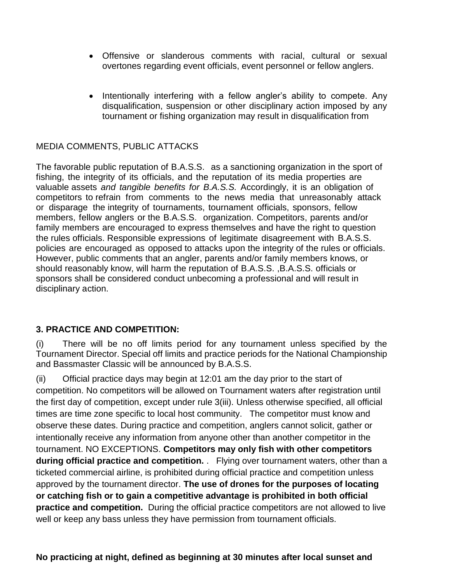- Offensive or slanderous comments with racial, cultural or sexual overtones regarding event officials, event personnel or fellow anglers.
- Intentionally interfering with a fellow angler's ability to compete. Any disqualification, suspension or other disciplinary action imposed by any tournament or fishing organization may result in disqualification from

### MEDIA COMMENTS, PUBLIC ATTACKS

The favorable public reputation of B.A.S.S. as a sanctioning organization in the sport of fishing, the integrity of its officials, and the reputation of its media properties are valuable assets *and tangible benefits for B.A.S.S.* Accordingly, it is an obligation of competitors to refrain from comments to the news media that unreasonably attack or disparage the integrity of tournaments, tournament officials, sponsors, fellow members, fellow anglers or the B.A.S.S. organization. Competitors, parents and/or family members are encouraged to express themselves and have the right to question the rules officials. Responsible expressions of legitimate disagreement with B.A.S.S. policies are encouraged as opposed to attacks upon the integrity of the rules or officials. However, public comments that an angler, parents and/or family members knows, or should reasonably know, will harm the reputation of B.A.S.S. ,B.A.S.S. officials or sponsors shall be considered conduct unbecoming a professional and will result in disciplinary action.

#### **3. PRACTICE AND COMPETITION:**

(i) There will be no off limits period for any tournament unless specified by the Tournament Director. Special off limits and practice periods for the National Championship and Bassmaster Classic will be announced by B.A.S.S.

(ii) Official practice days may begin at 12:01 am the day prior to the start of competition. No competitors will be allowed on Tournament waters after registration until the first day of competition, except under rule 3(iii). Unless otherwise specified, all official times are time zone specific to local host community. The competitor must know and observe these dates. During practice and competition, anglers cannot solicit, gather or intentionally receive any information from anyone other than another competitor in the tournament. NO EXCEPTIONS. **Competitors may only fish with other competitors during official practice and competition.** . Flying over tournament waters, other than a ticketed commercial airline, is prohibited during official practice and competition unless approved by the tournament director. **The use of drones for the purposes of locating or catching fish or to gain a competitive advantage is prohibited in both official practice and competition.** During the official practice competitors are not allowed to live well or keep any bass unless they have permission from tournament officials.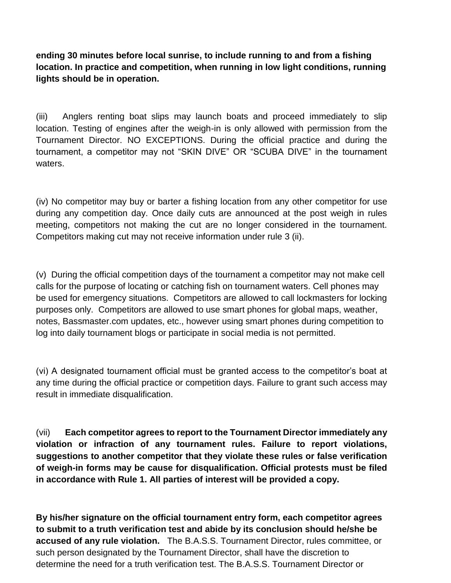**ending 30 minutes before local sunrise, to include running to and from a fishing location. In practice and competition, when running in low light conditions, running lights should be in operation.**

(iii) Anglers renting boat slips may launch boats and proceed immediately to slip location. Testing of engines after the weigh-in is only allowed with permission from the Tournament Director. NO EXCEPTIONS. During the official practice and during the tournament, a competitor may not "SKIN DIVE" OR "SCUBA DIVE" in the tournament waters.

(iv) No competitor may buy or barter a fishing location from any other competitor for use during any competition day. Once daily cuts are announced at the post weigh in rules meeting, competitors not making the cut are no longer considered in the tournament. Competitors making cut may not receive information under rule 3 (ii).

(v) During the official competition days of the tournament a competitor may not make cell calls for the purpose of locating or catching fish on tournament waters. Cell phones may be used for emergency situations. Competitors are allowed to call lockmasters for locking purposes only. Competitors are allowed to use smart phones for global maps, weather, notes, Bassmaster.com updates, etc., however using smart phones during competition to log into daily tournament blogs or participate in social media is not permitted.

(vi) A designated tournament official must be granted access to the competitor's boat at any time during the official practice or competition days. Failure to grant such access may result in immediate disqualification.

(vii) **Each competitor agrees to report to the Tournament Director immediately any violation or infraction of any tournament rules. Failure to report violations, suggestions to another competitor that they violate these rules or false verification of weigh-in forms may be cause for disqualification. Official protests must be filed in accordance with Rule 1. All parties of interest will be provided a copy.**

**By his/her signature on the official tournament entry form, each competitor agrees to submit to a truth verification test and abide by its conclusion should he/she be accused of any rule violation.** The B.A.S.S. Tournament Director, rules committee, or such person designated by the Tournament Director, shall have the discretion to determine the need for a truth verification test. The B.A.S.S. Tournament Director or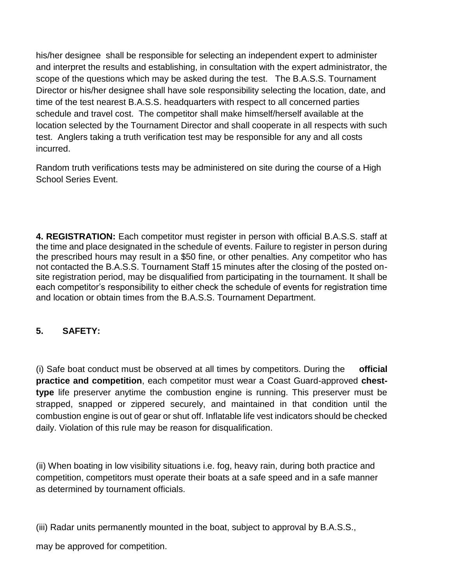his/her designee shall be responsible for selecting an independent expert to administer and interpret the results and establishing, in consultation with the expert administrator, the scope of the questions which may be asked during the test. The B.A.S.S. Tournament Director or his/her designee shall have sole responsibility selecting the location, date, and time of the test nearest B.A.S.S. headquarters with respect to all concerned parties schedule and travel cost. The competitor shall make himself/herself available at the location selected by the Tournament Director and shall cooperate in all respects with such test. Anglers taking a truth verification test may be responsible for any and all costs incurred.

Random truth verifications tests may be administered on site during the course of a High School Series Event.

**4. REGISTRATION:** Each competitor must register in person with official B.A.S.S. staff at the time and place designated in the schedule of events. Failure to register in person during the prescribed hours may result in a \$50 fine, or other penalties. Any competitor who has not contacted the B.A.S.S. Tournament Staff 15 minutes after the closing of the posted onsite registration period, may be disqualified from participating in the tournament. It shall be each competitor's responsibility to either check the schedule of events for registration time and location or obtain times from the B.A.S.S. Tournament Department.

## **5. SAFETY:**

(i) Safe boat conduct must be observed at all times by competitors. During the **official practice and competition**, each competitor must wear a Coast Guard-approved **chesttype** life preserver anytime the combustion engine is running. This preserver must be strapped, snapped or zippered securely, and maintained in that condition until the combustion engine is out of gear or shut off. Inflatable life vest indicators should be checked daily. Violation of this rule may be reason for disqualification.

(ii) When boating in low visibility situations i.e. fog, heavy rain, during both practice and competition, competitors must operate their boats at a safe speed and in a safe manner as determined by tournament officials.

(iii) Radar units permanently mounted in the boat, subject to approval by B.A.S.S.,

may be approved for competition.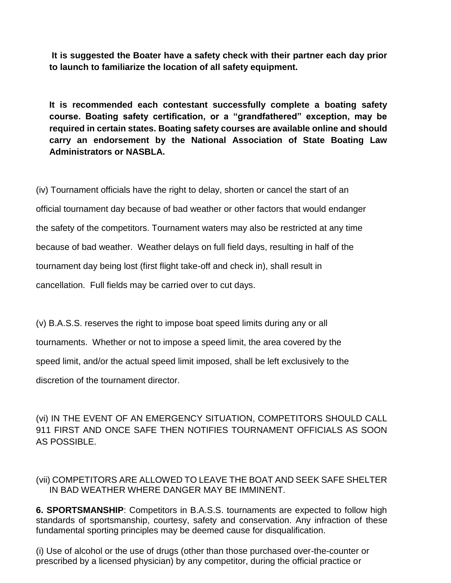**It is suggested the Boater have a safety check with their partner each day prior to launch to familiarize the location of all safety equipment.**

**It is recommended each contestant successfully complete a boating safety course. Boating safety certification, or a "grandfathered" exception, may be required in certain states. Boating safety courses are available online and should carry an endorsement by the National Association of State Boating Law Administrators or NASBLA.**

(iv) Tournament officials have the right to delay, shorten or cancel the start of an official tournament day because of bad weather or other factors that would endanger the safety of the competitors. Tournament waters may also be restricted at any time because of bad weather. Weather delays on full field days, resulting in half of the tournament day being lost (first flight take-off and check in), shall result in cancellation. Full fields may be carried over to cut days.

(v) B.A.S.S. reserves the right to impose boat speed limits during any or all tournaments. Whether or not to impose a speed limit, the area covered by the speed limit, and/or the actual speed limit imposed, shall be left exclusively to the discretion of the tournament director.

(vi) IN THE EVENT OF AN EMERGENCY SITUATION, COMPETITORS SHOULD CALL 911 FIRST AND ONCE SAFE THEN NOTIFIES TOURNAMENT OFFICIALS AS SOON AS POSSIBLE.

#### (vii) COMPETITORS ARE ALLOWED TO LEAVE THE BOAT AND SEEK SAFE SHELTER IN BAD WEATHER WHERE DANGER MAY BE IMMINENT.

**6. SPORTSMANSHIP**: Competitors in B.A.S.S. tournaments are expected to follow high standards of sportsmanship, courtesy, safety and conservation. Any infraction of these fundamental sporting principles may be deemed cause for disqualification.

(i) Use of alcohol or the use of drugs (other than those purchased over-the-counter or prescribed by a licensed physician) by any competitor, during the official practice or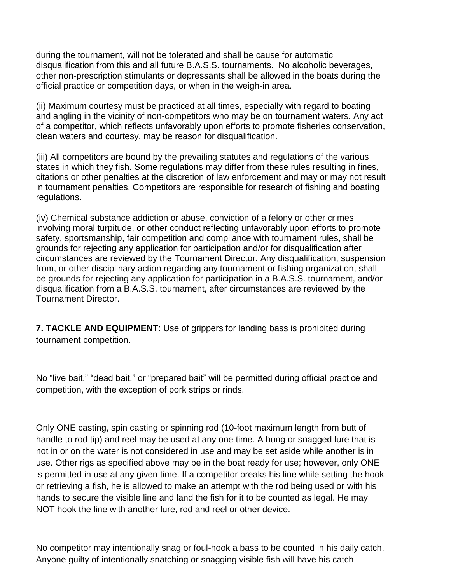during the tournament, will not be tolerated and shall be cause for automatic disqualification from this and all future B.A.S.S. tournaments. No alcoholic beverages, other non-prescription stimulants or depressants shall be allowed in the boats during the official practice or competition days, or when in the weigh-in area.

(ii) Maximum courtesy must be practiced at all times, especially with regard to boating and angling in the vicinity of non-competitors who may be on tournament waters. Any act of a competitor, which reflects unfavorably upon efforts to promote fisheries conservation, clean waters and courtesy, may be reason for disqualification.

(iii) All competitors are bound by the prevailing statutes and regulations of the various states in which they fish. Some regulations may differ from these rules resulting in fines, citations or other penalties at the discretion of law enforcement and may or may not result in tournament penalties. Competitors are responsible for research of fishing and boating regulations.

(iv) Chemical substance addiction or abuse, conviction of a felony or other crimes involving moral turpitude, or other conduct reflecting unfavorably upon efforts to promote safety, sportsmanship, fair competition and compliance with tournament rules, shall be grounds for rejecting any application for participation and/or for disqualification after circumstances are reviewed by the Tournament Director. Any disqualification, suspension from, or other disciplinary action regarding any tournament or fishing organization, shall be grounds for rejecting any application for participation in a B.A.S.S. tournament, and/or disqualification from a B.A.S.S. tournament, after circumstances are reviewed by the Tournament Director.

**7. TACKLE AND EQUIPMENT**: Use of grippers for landing bass is prohibited during tournament competition.

No "live bait," "dead bait," or "prepared bait" will be permitted during official practice and competition, with the exception of pork strips or rinds.

Only ONE casting, spin casting or spinning rod (10-foot maximum length from butt of handle to rod tip) and reel may be used at any one time. A hung or snagged lure that is not in or on the water is not considered in use and may be set aside while another is in use. Other rigs as specified above may be in the boat ready for use; however, only ONE is permitted in use at any given time. If a competitor breaks his line while setting the hook or retrieving a fish, he is allowed to make an attempt with the rod being used or with his hands to secure the visible line and land the fish for it to be counted as legal. He may NOT hook the line with another lure, rod and reel or other device.

No competitor may intentionally snag or foul-hook a bass to be counted in his daily catch. Anyone guilty of intentionally snatching or snagging visible fish will have his catch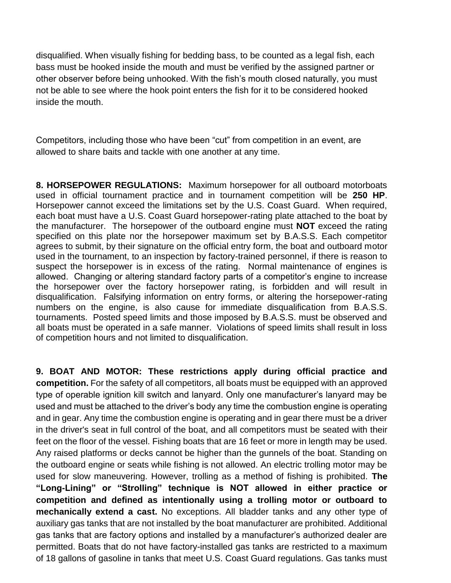disqualified. When visually fishing for bedding bass, to be counted as a legal fish, each bass must be hooked inside the mouth and must be verified by the assigned partner or other observer before being unhooked. With the fish's mouth closed naturally, you must not be able to see where the hook point enters the fish for it to be considered hooked inside the mouth.

Competitors, including those who have been "cut" from competition in an event, are allowed to share baits and tackle with one another at any time.

**8. HORSEPOWER REGULATIONS:** Maximum horsepower for all outboard motorboats used in official tournament practice and in tournament competition will be **250 HP**. Horsepower cannot exceed the limitations set by the U.S. Coast Guard. When required, each boat must have a U.S. Coast Guard horsepower-rating plate attached to the boat by the manufacturer. The horsepower of the outboard engine must **NOT** exceed the rating specified on this plate nor the horsepower maximum set by B.A.S.S. Each competitor agrees to submit, by their signature on the official entry form, the boat and outboard motor used in the tournament, to an inspection by factory-trained personnel, if there is reason to suspect the horsepower is in excess of the rating. Normal maintenance of engines is allowed. Changing or altering standard factory parts of a competitor's engine to increase the horsepower over the factory horsepower rating, is forbidden and will result in disqualification. Falsifying information on entry forms, or altering the horsepower-rating numbers on the engine, is also cause for immediate disqualification from B.A.S.S. tournaments. Posted speed limits and those imposed by B.A.S.S. must be observed and all boats must be operated in a safe manner. Violations of speed limits shall result in loss of competition hours and not limited to disqualification.

**9. BOAT AND MOTOR: These restrictions apply during official practice and competition.** For the safety of all competitors, all boats must be equipped with an approved type of operable ignition kill switch and lanyard. Only one manufacturer's lanyard may be used and must be attached to the driver's body any time the combustion engine is operating and in gear. Any time the combustion engine is operating and in gear there must be a driver in the driver's seat in full control of the boat, and all competitors must be seated with their feet on the floor of the vessel. Fishing boats that are 16 feet or more in length may be used. Any raised platforms or decks cannot be higher than the gunnels of the boat. Standing on the outboard engine or seats while fishing is not allowed. An electric trolling motor may be used for slow maneuvering. However, trolling as a method of fishing is prohibited. **The "Long-Lining" or "Strolling" technique is NOT allowed in either practice or competition and defined as intentionally using a trolling motor or outboard to mechanically extend a cast.** No exceptions. All bladder tanks and any other type of auxiliary gas tanks that are not installed by the boat manufacturer are prohibited. Additional gas tanks that are factory options and installed by a manufacturer's authorized dealer are permitted. Boats that do not have factory-installed gas tanks are restricted to a maximum of 18 gallons of gasoline in tanks that meet U.S. Coast Guard regulations. Gas tanks must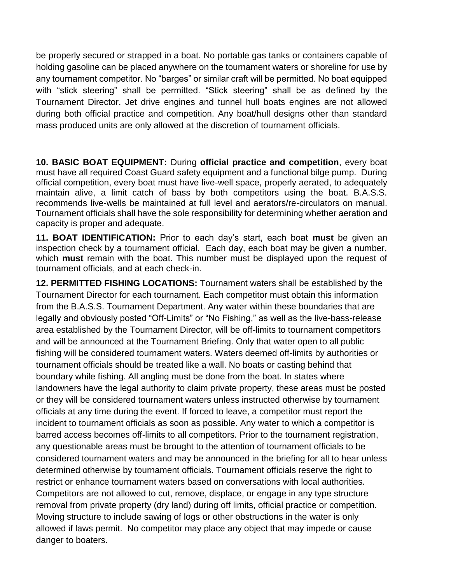be properly secured or strapped in a boat. No portable gas tanks or containers capable of holding gasoline can be placed anywhere on the tournament waters or shoreline for use by any tournament competitor. No "barges" or similar craft will be permitted. No boat equipped with "stick steering" shall be permitted. "Stick steering" shall be as defined by the Tournament Director. Jet drive engines and tunnel hull boats engines are not allowed during both official practice and competition. Any boat/hull designs other than standard mass produced units are only allowed at the discretion of tournament officials.

**10. BASIC BOAT EQUIPMENT:** During **official practice and competition**, every boat must have all required Coast Guard safety equipment and a functional bilge pump. During official competition, every boat must have live-well space, properly aerated, to adequately maintain alive, a limit catch of bass by both competitors using the boat. B.A.S.S. recommends live-wells be maintained at full level and aerators/re-circulators on manual. Tournament officials shall have the sole responsibility for determining whether aeration and capacity is proper and adequate.

**11. BOAT IDENTIFICATION:** Prior to each day's start, each boat **must** be given an inspection check by a tournament official. Each day, each boat may be given a number, which **must** remain with the boat. This number must be displayed upon the request of tournament officials, and at each check-in.

**12. PERMITTED FISHING LOCATIONS:** Tournament waters shall be established by the Tournament Director for each tournament. Each competitor must obtain this information from the B.A.S.S. Tournament Department. Any water within these boundaries that are legally and obviously posted "Off-Limits" or "No Fishing," as well as the live-bass-release area established by the Tournament Director, will be off-limits to tournament competitors and will be announced at the Tournament Briefing. Only that water open to all public fishing will be considered tournament waters. Waters deemed off-limits by authorities or tournament officials should be treated like a wall. No boats or casting behind that boundary while fishing. All angling must be done from the boat. In states where landowners have the legal authority to claim private property, these areas must be posted or they will be considered tournament waters unless instructed otherwise by tournament officials at any time during the event. If forced to leave, a competitor must report the incident to tournament officials as soon as possible. Any water to which a competitor is barred access becomes off-limits to all competitors. Prior to the tournament registration, any questionable areas must be brought to the attention of tournament officials to be considered tournament waters and may be announced in the briefing for all to hear unless determined otherwise by tournament officials. Tournament officials reserve the right to restrict or enhance tournament waters based on conversations with local authorities. Competitors are not allowed to cut, remove, displace, or engage in any type structure removal from private property (dry land) during off limits, official practice or competition. Moving structure to include sawing of logs or other obstructions in the water is only allowed if laws permit. No competitor may place any object that may impede or cause danger to boaters.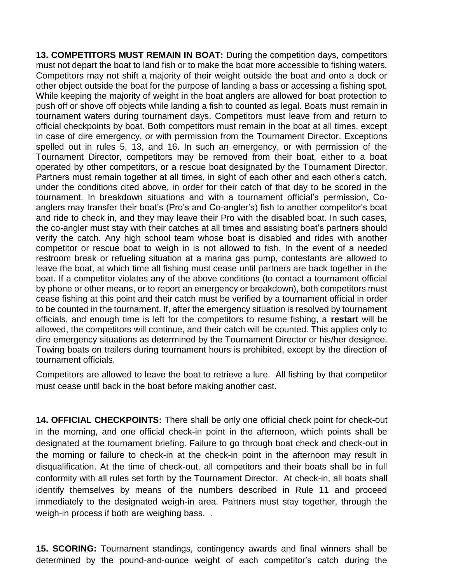**13. COMPETITORS MUST REMAIN IN BOAT:** During the competition days, competitors must not depart the boat to land fish or to make the boat more accessible to fishing waters. Competitors may not shift a majority of their weight outside the boat and onto a dock or other object outside the boat for the purpose of landing a bass or accessing a fishing spot. While keeping the majority of weight in the boat anglers are allowed for boat protection to push off or shove off objects while landing a fish to counted as legal. Boats must remain in tournament waters during tournament days. Competitors must leave from and return to official checkpoints by boat. Both competitors must remain in the boat at all times, except in case of dire emergency, or with permission from the Tournament Director. Exceptions spelled out in rules 5, 13, and 16. In such an emergency, or with permission of the Tournament Director, competitors may be removed from their boat, either to a boat operated by other competitors, or a rescue boat designated by the Tournament Director. Partners must remain together at all times, in sight of each other and each other's catch, under the conditions cited above, in order for their catch of that day to be scored in the tournament. In breakdown situations and with a tournament official's permission, Coanglers may transfer their boat's (Pro's and Co-angler's) fish to another competitor's boat and ride to check in, and they may leave their Pro with the disabled boat. In such cases, the co-angler must stay with their catches at all times and assisting boat's partners should verify the catch. Any high school team whose boat is disabled and rides with another competitor or rescue boat to weigh in is not allowed to fish. In the event of a needed restroom break or refueling situation at a marina gas pump, contestants are allowed to leave the boat, at which time all fishing must cease until partners are back together in the boat. If a competitor violates any of the above conditions (to contact a tournament official by phone or other means, or to report an emergency or breakdown), both competitors must cease fishing at this point and their catch must be verified by a tournament official in order to be counted in the tournament. If, after the emergency situation is resolved by tournament officials, and enough time is left for the competitors to resume fishing, a **restart** will be allowed, the competitors will continue, and their catch will be counted. This applies only to dire emergency situations as determined by the Tournament Director or his/her designee. Towing boats on trailers during tournament hours is prohibited, except by the direction of tournament officials.

Competitors are allowed to leave the boat to retrieve a lure. All fishing by that competitor must cease until back in the boat before making another cast.

**14. OFFICIAL CHECKPOINTS:** There shall be only one official check point for check-out in the morning, and one official check-in point in the afternoon, which points shall be designated at the tournament briefing. Failure to go through boat check and check-out in the morning or failure to check-in at the check-in point in the afternoon may result in disqualification. At the time of check-out, all competitors and their boats shall be in full conformity with all rules set forth by the Tournament Director. At check-in, all boats shall identify themselves by means of the numbers described in Rule 11 and proceed immediately to the designated weigh-in area. Partners must stay together, through the weigh-in process if both are weighing bass. .

**15. SCORING:** Tournament standings, contingency awards and final winners shall be determined by the pound-and-ounce weight of each competitor's catch during the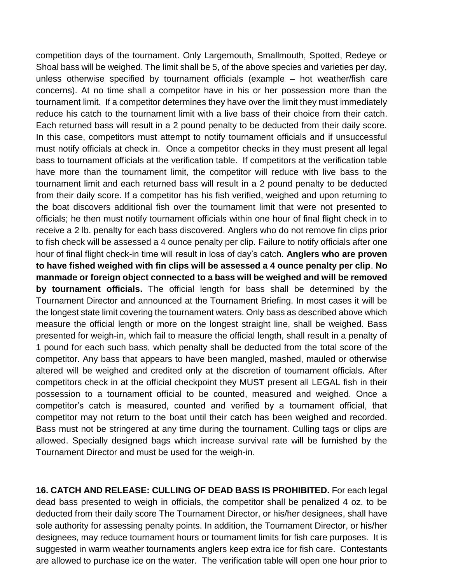competition days of the tournament. Only Largemouth, Smallmouth, Spotted, Redeye or Shoal bass will be weighed. The limit shall be 5, of the above species and varieties per day, unless otherwise specified by tournament officials (example – hot weather/fish care concerns). At no time shall a competitor have in his or her possession more than the tournament limit. If a competitor determines they have over the limit they must immediately reduce his catch to the tournament limit with a live bass of their choice from their catch. Each returned bass will result in a 2 pound penalty to be deducted from their daily score. In this case, competitors must attempt to notify tournament officials and if unsuccessful must notify officials at check in. Once a competitor checks in they must present all legal bass to tournament officials at the verification table. If competitors at the verification table have more than the tournament limit, the competitor will reduce with live bass to the tournament limit and each returned bass will result in a 2 pound penalty to be deducted from their daily score. If a competitor has his fish verified, weighed and upon returning to the boat discovers additional fish over the tournament limit that were not presented to officials; he then must notify tournament officials within one hour of final flight check in to receive a 2 lb. penalty for each bass discovered. Anglers who do not remove fin clips prior to fish check will be assessed a 4 ounce penalty per clip. Failure to notify officials after one hour of final flight check-in time will result in loss of day's catch. **Anglers who are proven to have fished weighed with fin clips will be assessed a 4 ounce penalty per clip**. **No manmade or foreign object connected to a bass will be weighed and will be removed by tournament officials.** The official length for bass shall be determined by the Tournament Director and announced at the Tournament Briefing. In most cases it will be the longest state limit covering the tournament waters. Only bass as described above which measure the official length or more on the longest straight line, shall be weighed. Bass presented for weigh-in, which fail to measure the official length, shall result in a penalty of 1 pound for each such bass, which penalty shall be deducted from the total score of the competitor. Any bass that appears to have been mangled, mashed, mauled or otherwise altered will be weighed and credited only at the discretion of tournament officials. After competitors check in at the official checkpoint they MUST present all LEGAL fish in their possession to a tournament official to be counted, measured and weighed. Once a competitor's catch is measured, counted and verified by a tournament official, that competitor may not return to the boat until their catch has been weighed and recorded. Bass must not be stringered at any time during the tournament. Culling tags or clips are allowed. Specially designed bags which increase survival rate will be furnished by the Tournament Director and must be used for the weigh-in.

**16. CATCH AND RELEASE: CULLING OF DEAD BASS IS PROHIBITED.** For each legal dead bass presented to weigh in officials, the competitor shall be penalized 4 oz. to be deducted from their daily score The Tournament Director, or his/her designees, shall have sole authority for assessing penalty points. In addition, the Tournament Director, or his/her designees, may reduce tournament hours or tournament limits for fish care purposes. It is suggested in warm weather tournaments anglers keep extra ice for fish care. Contestants are allowed to purchase ice on the water. The verification table will open one hour prior to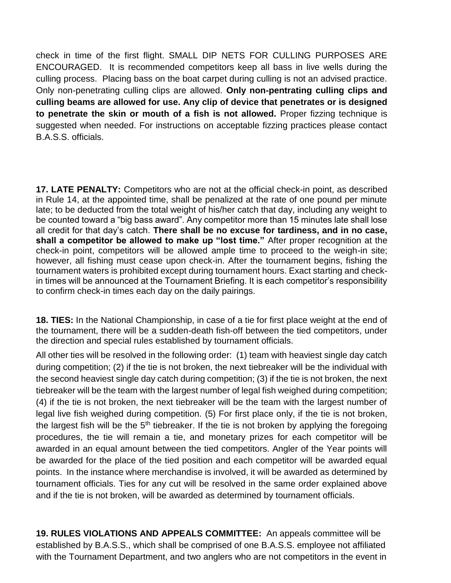check in time of the first flight. SMALL DIP NETS FOR CULLING PURPOSES ARE ENCOURAGED. It is recommended competitors keep all bass in live wells during the culling process. Placing bass on the boat carpet during culling is not an advised practice. Only non-penetrating culling clips are allowed. **Only non-pentrating culling clips and culling beams are allowed for use. Any clip of device that penetrates or is designed to penetrate the skin or mouth of a fish is not allowed.** Proper fizzing technique is suggested when needed. For instructions on acceptable fizzing practices please contact B.A.S.S. officials.

**17. LATE PENALTY:** Competitors who are not at the official check-in point, as described in Rule 14, at the appointed time, shall be penalized at the rate of one pound per minute late; to be deducted from the total weight of his/her catch that day, including any weight to be counted toward a "big bass award". Any competitor more than 15 minutes late shall lose all credit for that day's catch. **There shall be no excuse for tardiness, and in no case, shall a competitor be allowed to make up "lost time."** After proper recognition at the check-in point, competitors will be allowed ample time to proceed to the weigh-in site; however, all fishing must cease upon check-in. After the tournament begins, fishing the tournament waters is prohibited except during tournament hours. Exact starting and checkin times will be announced at the Tournament Briefing. It is each competitor's responsibility to confirm check-in times each day on the daily pairings.

**18. TIES:** In the National Championship, in case of a tie for first place weight at the end of the tournament, there will be a sudden-death fish-off between the tied competitors, under the direction and special rules established by tournament officials.

All other ties will be resolved in the following order: (1) team with heaviest single day catch during competition; (2) if the tie is not broken, the next tiebreaker will be the individual with the second heaviest single day catch during competition; (3) if the tie is not broken, the next tiebreaker will be the team with the largest number of legal fish weighed during competition; (4) if the tie is not broken, the next tiebreaker will be the team with the largest number of legal live fish weighed during competition. (5) For first place only, if the tie is not broken, the largest fish will be the  $5<sup>th</sup>$  tiebreaker. If the tie is not broken by applying the foregoing procedures, the tie will remain a tie, and monetary prizes for each competitor will be awarded in an equal amount between the tied competitors. Angler of the Year points will be awarded for the place of the tied position and each competitor will be awarded equal points. In the instance where merchandise is involved, it will be awarded as determined by tournament officials. Ties for any cut will be resolved in the same order explained above and if the tie is not broken, will be awarded as determined by tournament officials.

**19. RULES VIOLATIONS AND APPEALS COMMITTEE:** An appeals committee will be established by B.A.S.S., which shall be comprised of one B.A.S.S. employee not affiliated with the Tournament Department, and two anglers who are not competitors in the event in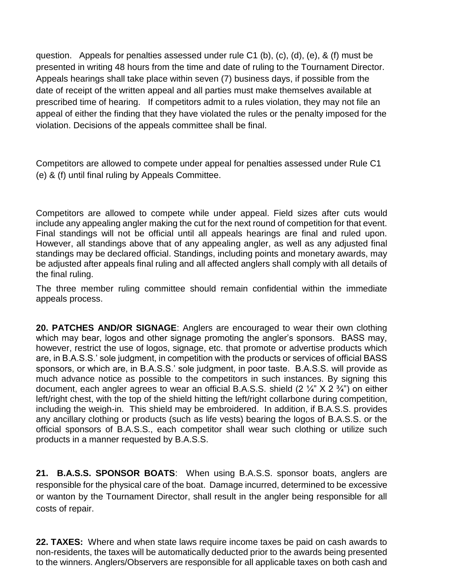question. Appeals for penalties assessed under rule C1 (b), (c), (d), (e), & (f) must be presented in writing 48 hours from the time and date of ruling to the Tournament Director. Appeals hearings shall take place within seven (7) business days, if possible from the date of receipt of the written appeal and all parties must make themselves available at prescribed time of hearing. If competitors admit to a rules violation, they may not file an appeal of either the finding that they have violated the rules or the penalty imposed for the violation. Decisions of the appeals committee shall be final.

Competitors are allowed to compete under appeal for penalties assessed under Rule C1 (e) & (f) until final ruling by Appeals Committee.

Competitors are allowed to compete while under appeal. Field sizes after cuts would include any appealing angler making the cut for the next round of competition for that event. Final standings will not be official until all appeals hearings are final and ruled upon. However, all standings above that of any appealing angler, as well as any adjusted final standings may be declared official. Standings, including points and monetary awards, may be adjusted after appeals final ruling and all affected anglers shall comply with all details of the final ruling.

The three member ruling committee should remain confidential within the immediate appeals process.

**20. PATCHES AND/OR SIGNAGE**: Anglers are encouraged to wear their own clothing which may bear, logos and other signage promoting the angler's sponsors. BASS may, however, restrict the use of logos, signage, etc. that promote or advertise products which are, in B.A.S.S.' sole judgment, in competition with the products or services of official BASS sponsors, or which are, in B.A.S.S.' sole judgment, in poor taste. B.A.S.S. will provide as much advance notice as possible to the competitors in such instances. By signing this document, each angler agrees to wear an official B.A.S.S. shield  $(2 \frac{1}{4} \times 2 \frac{3}{4})$  on either left/right chest, with the top of the shield hitting the left/right collarbone during competition, including the weigh-in. This shield may be embroidered. In addition, if B.A.S.S. provides any ancillary clothing or products (such as life vests) bearing the logos of B.A.S.S. or the official sponsors of B.A.S.S., each competitor shall wear such clothing or utilize such products in a manner requested by B.A.S.S.

**21. B.A.S.S. SPONSOR BOATS**: When using B.A.S.S. sponsor boats, anglers are responsible for the physical care of the boat. Damage incurred, determined to be excessive or wanton by the Tournament Director, shall result in the angler being responsible for all costs of repair.

**22. TAXES:** Where and when state laws require income taxes be paid on cash awards to non-residents, the taxes will be automatically deducted prior to the awards being presented to the winners. Anglers/Observers are responsible for all applicable taxes on both cash and